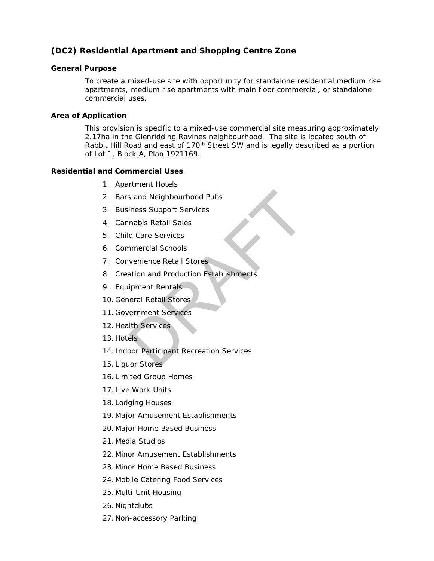# *(DC2) Residential Apartment and Shopping Centre Zone*

### **General Purpose**

To create a mixed-use site with opportunity for standalone residential medium rise apartments, medium rise apartments with main floor commercial, or standalone commercial uses.

### **Area of Application**

This provision is specific to a mixed-use commercial site measuring approximately 2.17ha in the Glenridding Ravines neighbourhood. The site is located south of Rabbit Hill Road and east of 170<sup>th</sup> Street SW and is legally described as a portion of Lot 1, Block A, Plan 1921169.

### **Residential and Commercial Uses**

- 1. Apartment Hotels
- 2. Bars and Neighbourhood Pubs
- 3. Business Support Services
- 4. Cannabis Retail Sales
- 5. Child Care Services
- 6. Commercial Schools
- 7. Convenience Retail Stores
- 8. Creation and Production Establishments s and Neighbourhood Pubs<br>
iness Support Services<br>
Inabis Retail Sales<br>
d Care Services<br>
inmercial Schools<br>
invenience Retail Stores<br>
ation and Production Establishments<br>
ipment Rentals<br>
In Retail Stores<br>
Ith Services<br>
Ith
- 9. Equipment Rentals
- 10. General Retail Stores
- 11. Government Services
- 12. Health Services
- 13. Hotels
- 14. Indoor Participant Recreation Services
- 15. Liquor Stores
- 16. Limited Group Homes
- 17. Live Work Units
- 18. Lodging Houses
- 19. Major Amusement Establishments
- 20. Major Home Based Business
- 21. Media Studios
- 22. Minor Amusement Establishments
- 23. Minor Home Based Business
- 24. Mobile Catering Food Services
- 25. Multi-Unit Housing
- 26. Nightclubs
- 27. Non-accessory Parking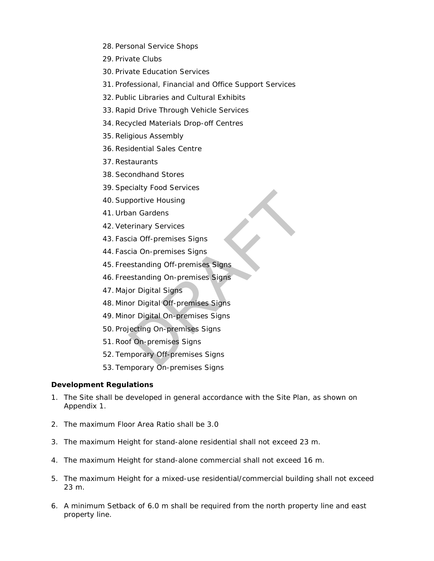- 28. Personal Service Shops
- 29. [Private Clubs](javascript:void(0);)
- 30. Private Education Services
- 31. Professional, Financial and Office Support Services
- 32. Public Libraries and Cultural Exhibits
- 33.Rapid Drive Through Vehicle Services
- 34[.Recycled Materials Drop-off Centres](javascript:void(0);)
- 35.Religious Assembly
- 36.Residential Sales Centre
- 37.Restaurants
- 38[.Secondhand Stores](javascript:void(0);)
- 39.Specialty Food Services
- 40.Supportive Housing
- 41. Urban Gardens
- 42.Veterinary Services
- 43. Fascia Off-premises Signs
- 44. Fascia On-premises Signs
- 45. Freestanding Off-premises Signs
- 46. Freestanding On-premises Signs
- 47. Major Digital Signs
- 48. Minor Digital Off-premises Signs
- 49. Minor Digital On-premises Signs portive Housing<br>
portive Housing<br>
an Gardens<br>
erinary Services<br>
cia Off-premises Signs<br>
estanding Off-premises Signs<br>
estanding On-premises Signs<br>
or Digital Off-premises Signs<br>
or Digital On-premises Signs<br>
iecting On-pre
- 50. Projecting On-premises Signs
- 51.Roof On-premises Signs
- 52. Temporary Off-premises Signs
- 53. Temporary On-premises Signs

## **Development Regulations**

- 1. The Site shall be developed in general accordance with the Site Plan, as shown on Appendix 1.
- 2. The maximum Floor Area Ratio shall be 3.0
- 3. The maximum Height for stand-alone residential shall not exceed [23](javascript:void(0);) m.
- 4. The maximum Height for stand-alone commercial shall not exceed 16 m.
- 5. The maximum Height for a mixed-use residential/commercial building shall not exceed 23 m.
- 6. A minimum Setback of 6.0 m shall be required from the north property line and east property line.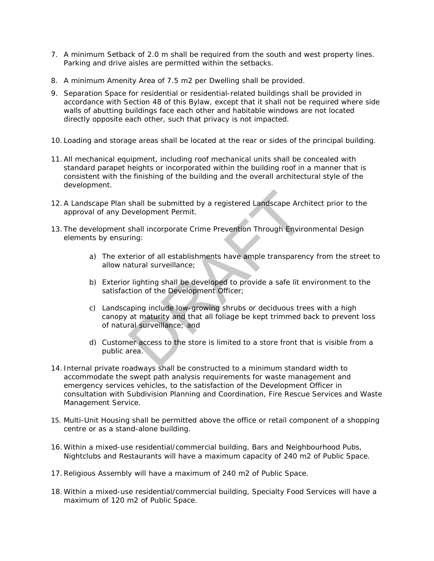- 7. A minimum Setback of 2.0 m shall be required from the south and west property lines. Parking and drive aisles are permitted within the setbacks.
- 8. A minimum Amenity Area of [7.5 m2](javascript:void(0);) per Dwelling shall be provided.
- 9. Separation Space for residential or residential-related buildings shall be provided in accordance with [Section 48](https://webdocs.edmonton.ca/InfraPlan/zoningbylaw/ZoningBylaw/Part1/Development/48__Separation_Space.htm) of this Bylaw, except that it shall not be required where side walls of abutting buildings face each other and habitable windows are not located directly opposite each other, such that privacy is not impacted.
- 10. Loading and storage areas shall be located at the rear or sides of the principal building.
- 11.All mechanical equipment, including roof mechanical units shall be concealed with standard parapet heights or incorporated within the building roof in a manner that is consistent with the finishing of the building and the overall architectural style of the development.
- 12.A Landscape Plan shall be submitted by a registered Landscape Architect prior to the approval of any Development Permit.
- 13. The development shall incorporate Crime Prevention Through Environmental Design elements by ensuring:
	- a) The exterior of all establishments have ample transparency from the street to allow natural surveillance;
	- b) Exterior lighting shall be developed to provide a safe lit environment to the satisfaction of the Development Officer;
- c) Landscaping include low-growing shrubs or deciduous trees with a high canopy at maturity and that all foliage be kept trimmed back to prevent loss of natural surveillance; and shall be submitted by a registered Landscape Archevelopment Permit.<br>
Shall incorporate Crime Prevention Through Environing:<br>
erior of all establishments have ample transparen<br>
atural surveillance;<br>
Tighting shall be develo
	- d) Customer access to the store is limited to a store front that is visible from a public area.
- 14. Internal private roadways shall be constructed to a minimum standard width to accommodate the swept path analysis requirements for waste management and emergency services vehicles, to the satisfaction of the Development Officer in consultation with Subdivision Planning and Coordination, Fire Rescue Services and Waste Management Service.
- 15. Multi-Unit Housing shall be permitted above the office or retail component of a shopping centre or as a stand-alone building.
- 16. Within a mixed-use residential/commercial building, Bars and Neighbourhood Pubs, Nightclubs and Restaurants will have a maximum capacity of 240 m2 of Public Space.
- 17.Religious Assembly will have a maximum of 240 m2 of Public Space.
- 18. Within a mixed-use residential/commercial building, Specialty Food Services will have a maximum of 120 m2 of Public Space.